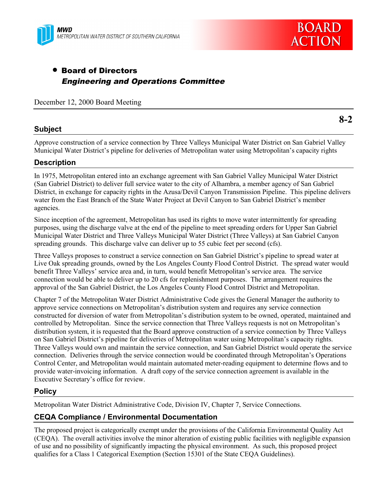



# • Board of Directors Engineering and Operations Committee

December 12, 2000 Board Meeting

# **Subject**

Approve construction of a service connection by Three Valleys Municipal Water District on San Gabriel Valley Municipal Water District's pipeline for deliveries of Metropolitan water using Metropolitan's capacity rights

# **Description**

In 1975, Metropolitan entered into an exchange agreement with San Gabriel Valley Municipal Water District (San Gabriel District) to deliver full service water to the city of Alhambra, a member agency of San Gabriel District, in exchange for capacity rights in the Azusa/Devil Canyon Transmission Pipeline. This pipeline delivers water from the East Branch of the State Water Project at Devil Canyon to San Gabriel District's member agencies.

Since inception of the agreement, Metropolitan has used its rights to move water intermittently for spreading purposes, using the discharge valve at the end of the pipeline to meet spreading orders for Upper San Gabriel Municipal Water District and Three Valleys Municipal Water District (Three Valleys) at San Gabriel Canyon spreading grounds. This discharge valve can deliver up to 55 cubic feet per second (cfs).

Three Valleys proposes to construct a service connection on San Gabriel District's pipeline to spread water at Live Oak spreading grounds, owned by the Los Angeles County Flood Control District. The spread water would benefit Three Valleys' service area and, in turn, would benefit Metropolitan's service area. The service connection would be able to deliver up to 20 cfs for replenishment purposes. The arrangement requires the approval of the San Gabriel District, the Los Angeles County Flood Control District and Metropolitan.

Chapter 7 of the Metropolitan Water District Administrative Code gives the General Manager the authority to approve service connections on Metropolitan's distribution system and requires any service connection constructed for diversion of water from Metropolitan's distribution system to be owned, operated, maintained and controlled by Metropolitan. Since the service connection that Three Valleys requests is not on Metropolitan's distribution system, it is requested that the Board approve construction of a service connection by Three Valleys on San Gabriel District's pipeline for deliveries of Metropolitan water using Metropolitan's capacity rights. Three Valleys would own and maintain the service connection, and San Gabriel District would operate the service connection. Deliveries through the service connection would be coordinated through Metropolitan's Operations Control Center, and Metropolitan would maintain automated meter-reading equipment to determine flows and to provide water-invoicing information. A draft copy of the service connection agreement is available in the Executive Secretary's office for review.

# **Policy**

Metropolitan Water District Administrative Code, Division IV, Chapter 7, Service Connections.

# **CEQA Compliance / Environmental Documentation**

The proposed project is categorically exempt under the provisions of the California Environmental Quality Act (CEQA). The overall activities involve the minor alteration of existing public facilities with negligible expansion of use and no possibility of significantly impacting the physical environment. As such, this proposed project qualifies for a Class 1 Categorical Exemption (Section 15301 of the State CEQA Guidelines).

**8-2**